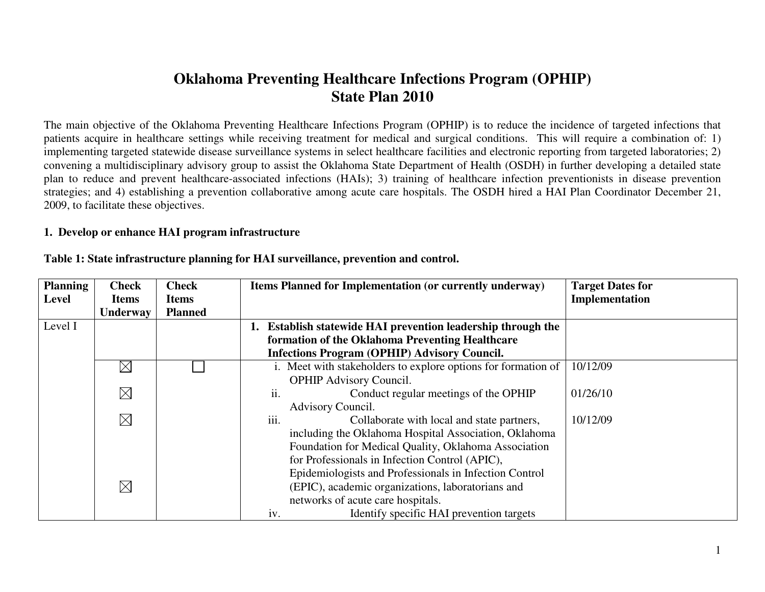# **Oklahoma Preventing Healthcare Infections Program (OPHIP) State Plan 2010**

The main objective of the Oklahoma Preventing Healthcare Infections Program (OPHIP) is to reduce the incidence of targeted infections that patients acquire in healthcare settings while receiving treatment for medical and surgical conditions. This will require a combination of: 1) implementing targeted statewide disease surveillance systems in select healthcare facilities and electronic reporting from targeted laboratories; 2) convening a multidisciplinary advisory group to assist the Oklahoma State Department of Health (OSDH) in further developing a detailed state plan to reduce and prevent healthcare-associated infections (HAIs); 3) training of healthcare infection preventionists in disease prevention strategies; and 4) establishing a prevention collaborative among acute care hospitals. The OSDH hired a HAI Plan Coordinator December 21, 2009, to facilitate these objectives.

## **1. Develop or enhance HAI program infrastructure**

| <b>Planning</b> | <b>Check</b> | <b>Check</b>   | <b>Items Planned for Implementation (or currently underway)</b> | <b>Target Dates for</b> |
|-----------------|--------------|----------------|-----------------------------------------------------------------|-------------------------|
| <b>Level</b>    | <b>Items</b> | <b>Items</b>   |                                                                 | Implementation          |
|                 | Underway     | <b>Planned</b> |                                                                 |                         |
| Level I         |              |                | Establish statewide HAI prevention leadership through the       |                         |
|                 |              |                | formation of the Oklahoma Preventing Healthcare                 |                         |
|                 |              |                | <b>Infections Program (OPHIP) Advisory Council.</b>             |                         |
|                 | $\boxtimes$  |                | i. Meet with stakeholders to explore options for formation of   | 10/12/09                |
|                 |              |                | <b>OPHIP Advisory Council.</b>                                  |                         |
|                 | $\times$     |                | ii.<br>Conduct regular meetings of the OPHIP                    | 01/26/10                |
|                 |              |                | Advisory Council.                                               |                         |
|                 | $\times$     |                | iii.<br>Collaborate with local and state partners,              | 10/12/09                |
|                 |              |                | including the Oklahoma Hospital Association, Oklahoma           |                         |
|                 |              |                | Foundation for Medical Quality, Oklahoma Association            |                         |
|                 |              |                | for Professionals in Infection Control (APIC),                  |                         |
|                 |              |                | Epidemiologists and Professionals in Infection Control          |                         |
|                 | $\times$     |                | (EPIC), academic organizations, laboratorians and               |                         |
|                 |              |                | networks of acute care hospitals.                               |                         |
|                 |              |                | iv.<br>Identify specific HAI prevention targets                 |                         |

#### **Table 1: State infrastructure planning for HAI surveillance, prevention and control.**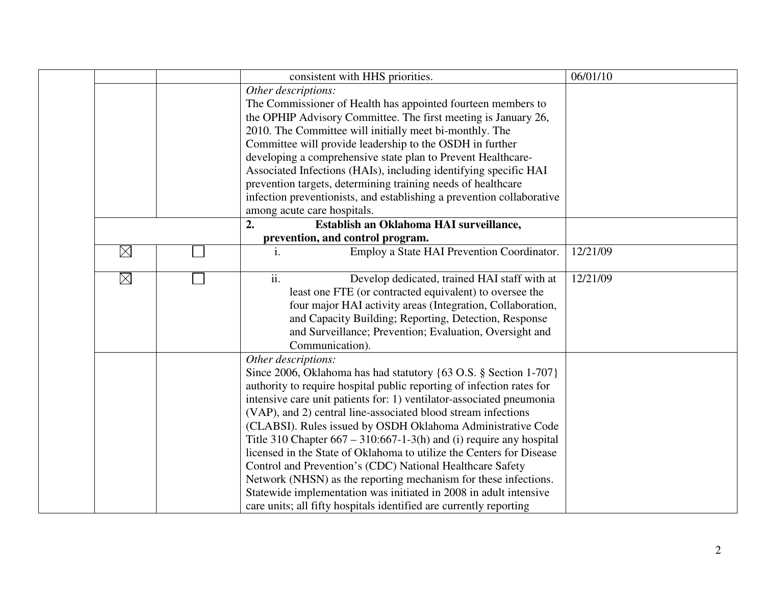|             | consistent with HHS priorities.                                         | 06/01/10 |
|-------------|-------------------------------------------------------------------------|----------|
|             | Other descriptions:                                                     |          |
|             | The Commissioner of Health has appointed fourteen members to            |          |
|             | the OPHIP Advisory Committee. The first meeting is January 26,          |          |
|             | 2010. The Committee will initially meet bi-monthly. The                 |          |
|             | Committee will provide leadership to the OSDH in further                |          |
|             | developing a comprehensive state plan to Prevent Healthcare-            |          |
|             | Associated Infections (HAIs), including identifying specific HAI        |          |
|             | prevention targets, determining training needs of healthcare            |          |
|             | infection preventionists, and establishing a prevention collaborative   |          |
|             | among acute care hospitals.                                             |          |
|             | Establish an Oklahoma HAI surveillance,<br>2.                           |          |
|             | prevention, and control program.                                        |          |
| $\boxtimes$ | Employ a State HAI Prevention Coordinator.<br>i.                        | 12/21/09 |
| $\boxtimes$ | ii.<br>Develop dedicated, trained HAI staff with at                     | 12/21/09 |
|             | least one FTE (or contracted equivalent) to oversee the                 |          |
|             | four major HAI activity areas (Integration, Collaboration,              |          |
|             | and Capacity Building; Reporting, Detection, Response                   |          |
|             | and Surveillance; Prevention; Evaluation, Oversight and                 |          |
|             | Communication).                                                         |          |
|             | Other descriptions:                                                     |          |
|             | Since 2006, Oklahoma has had statutory {63 O.S. § Section 1-707}        |          |
|             | authority to require hospital public reporting of infection rates for   |          |
|             | intensive care unit patients for: 1) ventilator-associated pneumonia    |          |
|             | (VAP), and 2) central line-associated blood stream infections           |          |
|             | (CLABSI). Rules issued by OSDH Oklahoma Administrative Code             |          |
|             | Title 310 Chapter $667 - 310:667 - 1-3(h)$ and (i) require any hospital |          |
|             | licensed in the State of Oklahoma to utilize the Centers for Disease    |          |
|             | Control and Prevention's (CDC) National Healthcare Safety               |          |
|             | Network (NHSN) as the reporting mechanism for these infections.         |          |
|             | Statewide implementation was initiated in 2008 in adult intensive       |          |
|             | care units; all fifty hospitals identified are currently reporting      |          |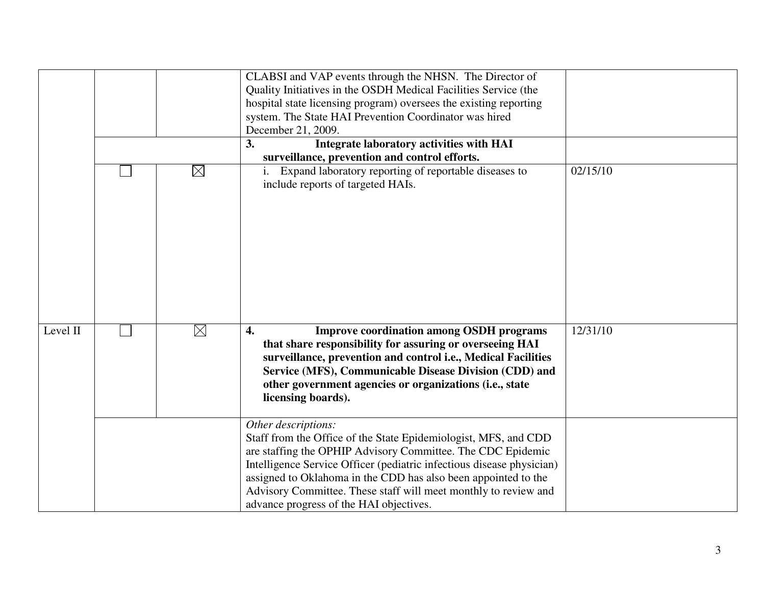|          |             | CLABSI and VAP events through the NHSN. The Director of<br>Quality Initiatives in the OSDH Medical Facilities Service (the<br>hospital state licensing program) oversees the existing reporting<br>system. The State HAI Prevention Coordinator was hired<br>December 21, 2009.<br>3.<br>Integrate laboratory activities with HAI<br>surveillance, prevention and control efforts.                             |          |
|----------|-------------|----------------------------------------------------------------------------------------------------------------------------------------------------------------------------------------------------------------------------------------------------------------------------------------------------------------------------------------------------------------------------------------------------------------|----------|
|          | $\boxtimes$ | Expand laboratory reporting of reportable diseases to<br>include reports of targeted HAIs.                                                                                                                                                                                                                                                                                                                     | 02/15/10 |
| Level II | $\boxtimes$ | <b>Improve coordination among OSDH programs</b><br>4.<br>that share responsibility for assuring or overseeing HAI<br>surveillance, prevention and control i.e., Medical Facilities<br>Service (MFS), Communicable Disease Division (CDD) and<br>other government agencies or organizations (i.e., state<br>licensing boards).                                                                                  | 12/31/10 |
|          |             | Other descriptions:<br>Staff from the Office of the State Epidemiologist, MFS, and CDD<br>are staffing the OPHIP Advisory Committee. The CDC Epidemic<br>Intelligence Service Officer (pediatric infectious disease physician)<br>assigned to Oklahoma in the CDD has also been appointed to the<br>Advisory Committee. These staff will meet monthly to review and<br>advance progress of the HAI objectives. |          |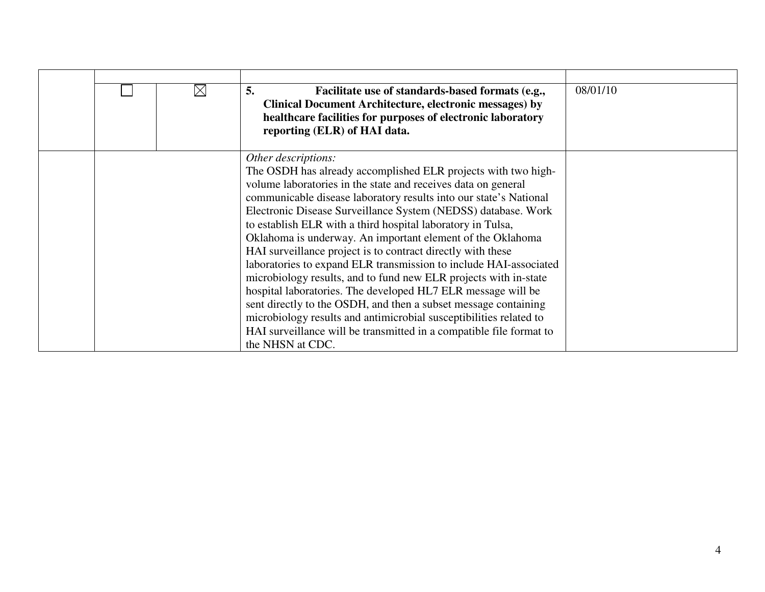|  | $\boxtimes$ | 5.<br>Facilitate use of standards-based formats (e.g.,<br><b>Clinical Document Architecture, electronic messages) by</b><br>healthcare facilities for purposes of electronic laboratory<br>reporting (ELR) of HAI data.                                                                                                                                                                                                                                                                                                                                                                                                                                                                                                                                                                                                                                                                                                              | 08/01/10 |
|--|-------------|--------------------------------------------------------------------------------------------------------------------------------------------------------------------------------------------------------------------------------------------------------------------------------------------------------------------------------------------------------------------------------------------------------------------------------------------------------------------------------------------------------------------------------------------------------------------------------------------------------------------------------------------------------------------------------------------------------------------------------------------------------------------------------------------------------------------------------------------------------------------------------------------------------------------------------------|----------|
|  |             | Other descriptions:<br>The OSDH has already accomplished ELR projects with two high-<br>volume laboratories in the state and receives data on general<br>communicable disease laboratory results into our state's National<br>Electronic Disease Surveillance System (NEDSS) database. Work<br>to establish ELR with a third hospital laboratory in Tulsa,<br>Oklahoma is underway. An important element of the Oklahoma<br>HAI surveillance project is to contract directly with these<br>laboratories to expand ELR transmission to include HAI-associated<br>microbiology results, and to fund new ELR projects with in-state<br>hospital laboratories. The developed HL7 ELR message will be<br>sent directly to the OSDH, and then a subset message containing<br>microbiology results and antimicrobial susceptibilities related to<br>HAI surveillance will be transmitted in a compatible file format to<br>the NHSN at CDC. |          |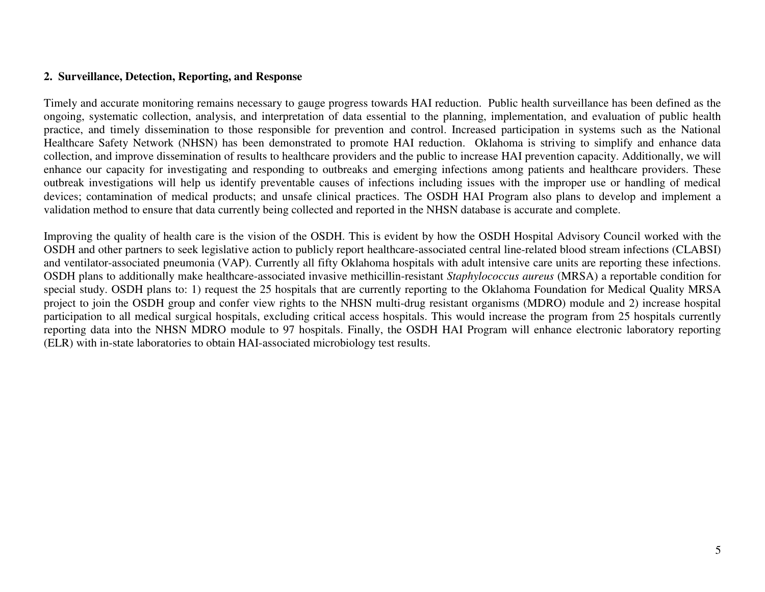## **2. Surveillance, Detection, Reporting, and Response**

Timely and accurate monitoring remains necessary to gauge progress towards HAI reduction. Public health surveillance has been defined as the ongoing, systematic collection, analysis, and interpretation of data essential to the planning, implementation, and evaluation of public health practice, and timely dissemination to those responsible for prevention and control. Increased participation in systems such as the National Healthcare Safety Network (NHSN) has been demonstrated to promote HAI reduction. Oklahoma is striving to simplify and enhance data collection, and improve dissemination of results to healthcare providers and the public to increase HAI prevention capacity. Additionally, we will enhance our capacity for investigating and responding to outbreaks and emerging infections among patients and healthcare providers. These outbreak investigations will help us identify preventable causes of infections including issues with the improper use or handling of medical devices; contamination of medical products; and unsafe clinical practices. The OSDH HAI Program also plans to develop and implement a validation method to ensure that data currently being collected and reported in the NHSN database is accurate and complete.

Improving the quality of health care is the vision of the OSDH. This is evident by how the OSDH Hospital Advisory Council worked with the OSDH and other partners to seek legislative action to publicly report healthcare-associated central line-related blood stream infections (CLABSI) and ventilator-associated pneumonia (VAP). Currently all fifty Oklahoma hospitals with adult intensive care units are reporting these infections. OSDH plans to additionally make healthcare-associated invasive methicillin-resistant *Staphylococcus aureus* (MRSA) a reportable condition for special study. OSDH plans to: 1) request the 25 hospitals that are currently reporting to the Oklahoma Foundation for Medical Quality MRSA project to join the OSDH group and confer view rights to the NHSN multi-drug resistant organisms (MDRO) module and 2) increase hospital participation to all medical surgical hospitals, excluding critical access hospitals. This would increase the program from 25 hospitals currently reporting data into the NHSN MDRO module to 97 hospitals. Finally, the OSDH HAI Program will enhance electronic laboratory reporting (ELR) with in-state laboratories to obtain HAI-associated microbiology test results.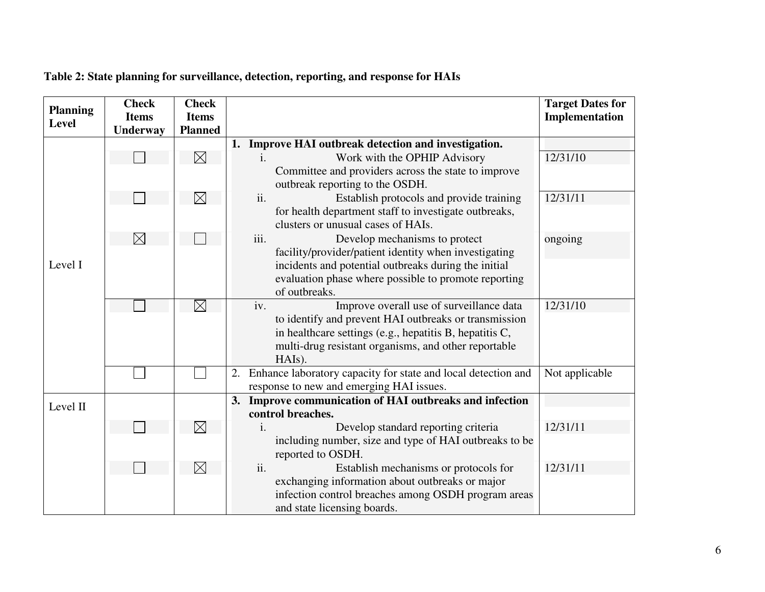| <b>Planning</b><br><b>Level</b> | <b>Check</b><br><b>Items</b> | <b>Check</b><br><b>Items</b> |                                                                                             | <b>Target Dates for</b><br>Implementation |
|---------------------------------|------------------------------|------------------------------|---------------------------------------------------------------------------------------------|-------------------------------------------|
|                                 | <b>Underway</b>              | <b>Planned</b>               |                                                                                             |                                           |
|                                 |                              |                              | 1. Improve HAI outbreak detection and investigation.                                        |                                           |
|                                 |                              | $\boxtimes$                  | Work with the OPHIP Advisory                                                                | 12/31/10                                  |
|                                 |                              |                              | Committee and providers across the state to improve                                         |                                           |
|                                 |                              |                              | outbreak reporting to the OSDH.<br>ii.                                                      | 12/31/11                                  |
|                                 |                              | $\boxtimes$                  | Establish protocols and provide training                                                    |                                           |
|                                 |                              |                              | for health department staff to investigate outbreaks,<br>clusters or unusual cases of HAIs. |                                           |
|                                 | $\boxtimes$                  |                              | iii.<br>Develop mechanisms to protect                                                       |                                           |
|                                 |                              |                              | facility/provider/patient identity when investigating                                       | ongoing                                   |
| Level I                         |                              |                              | incidents and potential outbreaks during the initial                                        |                                           |
|                                 |                              |                              | evaluation phase where possible to promote reporting                                        |                                           |
|                                 |                              |                              | of outbreaks.                                                                               |                                           |
|                                 |                              | $\boxtimes$                  | Improve overall use of surveillance data<br>iv.                                             | 12/31/10                                  |
|                                 |                              |                              | to identify and prevent HAI outbreaks or transmission                                       |                                           |
|                                 |                              |                              | in healthcare settings (e.g., hepatitis B, hepatitis C,                                     |                                           |
|                                 |                              |                              | multi-drug resistant organisms, and other reportable                                        |                                           |
|                                 |                              |                              | HAIs).                                                                                      |                                           |
|                                 |                              |                              | 2. Enhance laboratory capacity for state and local detection and                            | Not applicable                            |
|                                 |                              |                              | response to new and emerging HAI issues.                                                    |                                           |
| Level II                        |                              |                              | 3. Improve communication of HAI outbreaks and infection                                     |                                           |
|                                 |                              |                              | control breaches.                                                                           |                                           |
|                                 |                              | $\boxtimes$                  | Develop standard reporting criteria<br>1.                                                   | 12/31/11                                  |
|                                 |                              |                              | including number, size and type of HAI outbreaks to be                                      |                                           |
|                                 |                              |                              | reported to OSDH.                                                                           |                                           |
|                                 |                              | $\boxtimes$                  | ii.<br>Establish mechanisms or protocols for                                                | 12/31/11                                  |
|                                 |                              |                              | exchanging information about outbreaks or major                                             |                                           |
|                                 |                              |                              | infection control breaches among OSDH program areas                                         |                                           |
|                                 |                              |                              | and state licensing boards.                                                                 |                                           |

#### **Table 2: State planning for surveillance, detection, reporting, and response for HAIs**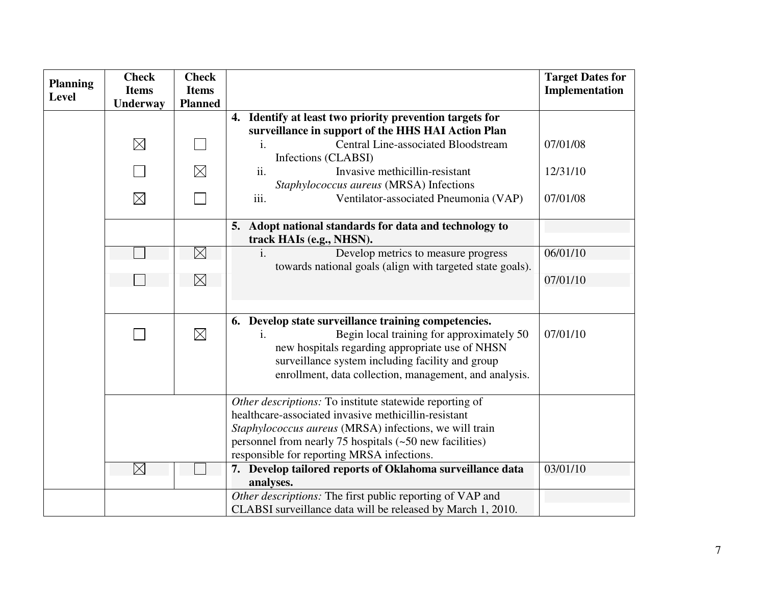| <b>Planning</b> | <b>Check</b><br><b>Items</b> | <b>Check</b><br><b>Items</b> |                                                                                                                                                                                                                                                                                      | <b>Target Dates for</b><br>Implementation |
|-----------------|------------------------------|------------------------------|--------------------------------------------------------------------------------------------------------------------------------------------------------------------------------------------------------------------------------------------------------------------------------------|-------------------------------------------|
| <b>Level</b>    | Underway                     | <b>Planned</b>               |                                                                                                                                                                                                                                                                                      |                                           |
|                 |                              |                              | 4. Identify at least two priority prevention targets for                                                                                                                                                                                                                             |                                           |
|                 |                              |                              | surveillance in support of the HHS HAI Action Plan                                                                                                                                                                                                                                   |                                           |
|                 | $\boxtimes$                  |                              | <b>Central Line-associated Bloodstream</b><br>$\mathbf{i}$ .<br>Infections (CLABSI)                                                                                                                                                                                                  | 07/01/08                                  |
|                 |                              | $\boxtimes$                  | Invasive methicillin-resistant<br>ii.<br>Staphylococcus aureus (MRSA) Infections                                                                                                                                                                                                     | 12/31/10                                  |
|                 | $\boxtimes$                  |                              | iii.<br>Ventilator-associated Pneumonia (VAP)                                                                                                                                                                                                                                        | 07/01/08                                  |
|                 |                              |                              | 5. Adopt national standards for data and technology to<br>track HAIs (e.g., NHSN).                                                                                                                                                                                                   |                                           |
|                 |                              | $\boxtimes$                  | Develop metrics to measure progress<br>$\mathbf{1}$ .                                                                                                                                                                                                                                | 06/01/10                                  |
|                 |                              |                              | towards national goals (align with targeted state goals).                                                                                                                                                                                                                            |                                           |
|                 |                              | $\boxtimes$                  |                                                                                                                                                                                                                                                                                      | 07/01/10                                  |
|                 |                              |                              |                                                                                                                                                                                                                                                                                      |                                           |
|                 |                              |                              | 6. Develop state surveillance training competencies.                                                                                                                                                                                                                                 |                                           |
|                 |                              | $\boxtimes$                  | Begin local training for approximately 50<br>i.<br>new hospitals regarding appropriate use of NHSN<br>surveillance system including facility and group<br>enrollment, data collection, management, and analysis.                                                                     | 07/01/10                                  |
|                 |                              |                              | Other descriptions: To institute statewide reporting of<br>healthcare-associated invasive methicillin-resistant<br>Staphylococcus aureus (MRSA) infections, we will train<br>personnel from nearly 75 hospitals $(-50$ new facilities)<br>responsible for reporting MRSA infections. |                                           |
|                 | $\times$                     |                              | 7. Develop tailored reports of Oklahoma surveillance data<br>analyses.                                                                                                                                                                                                               | 03/01/10                                  |
|                 |                              |                              | Other descriptions: The first public reporting of VAP and                                                                                                                                                                                                                            |                                           |
|                 |                              |                              | CLABSI surveillance data will be released by March 1, 2010.                                                                                                                                                                                                                          |                                           |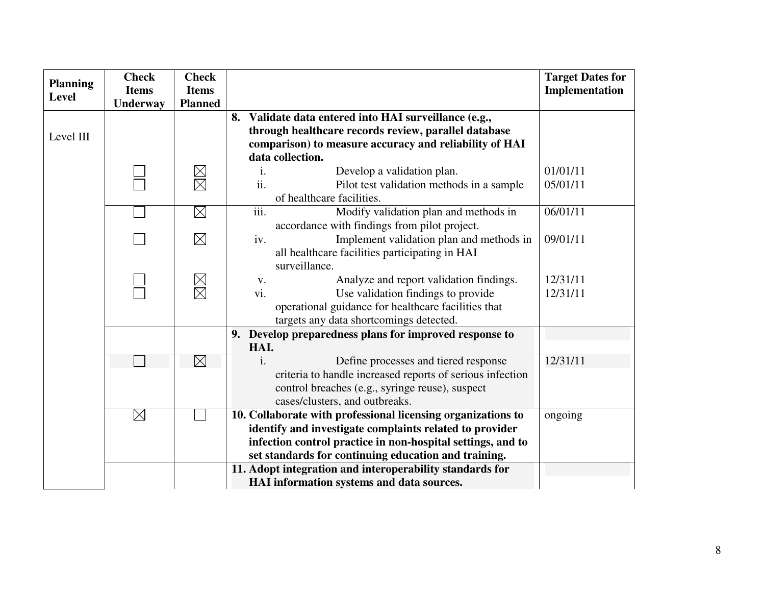| <b>Planning</b> | <b>Check</b>             | <b>Check</b>                   |                                                                                                   | <b>Target Dates for</b> |
|-----------------|--------------------------|--------------------------------|---------------------------------------------------------------------------------------------------|-------------------------|
| <b>Level</b>    | <b>Items</b><br>Underway | <b>Items</b><br><b>Planned</b> |                                                                                                   | Implementation          |
|                 |                          |                                | 8. Validate data entered into HAI surveillance (e.g.,                                             |                         |
| Level III       |                          |                                | through healthcare records review, parallel database                                              |                         |
|                 |                          |                                | comparison) to measure accuracy and reliability of HAI                                            |                         |
|                 |                          |                                | data collection.                                                                                  |                         |
|                 |                          | $\boxtimes$                    | Develop a validation plan.<br>i.                                                                  | 01/01/11                |
|                 |                          |                                | ii.<br>Pilot test validation methods in a sample                                                  | 05/01/11                |
|                 |                          |                                | of healthcare facilities.                                                                         |                         |
|                 |                          | $\boxtimes$                    | iii.<br>Modify validation plan and methods in                                                     | 06/01/11                |
|                 |                          |                                | accordance with findings from pilot project.                                                      |                         |
|                 |                          | $\boxtimes$                    | Implement validation plan and methods in<br>iv.                                                   | 09/01/11                |
|                 |                          |                                | all healthcare facilities participating in HAI                                                    |                         |
|                 |                          |                                | surveillance.                                                                                     |                         |
|                 |                          | $\boxtimes$                    | Analyze and report validation findings.<br>V.                                                     | 12/31/11                |
|                 |                          |                                | vi.<br>Use validation findings to provide                                                         | 12/31/11                |
|                 |                          |                                | operational guidance for healthcare facilities that                                               |                         |
|                 |                          |                                | targets any data shortcomings detected.<br>9. Develop preparedness plans for improved response to |                         |
|                 |                          |                                | HAI.                                                                                              |                         |
|                 |                          | $\boxtimes$                    | Define processes and tiered response<br>$\mathbf{i}$ .                                            | 12/31/11                |
|                 |                          |                                | criteria to handle increased reports of serious infection                                         |                         |
|                 |                          |                                | control breaches (e.g., syringe reuse), suspect                                                   |                         |
|                 |                          |                                | cases/clusters, and outbreaks.                                                                    |                         |
|                 | $\boxtimes$              |                                | 10. Collaborate with professional licensing organizations to                                      | ongoing                 |
|                 |                          |                                | identify and investigate complaints related to provider                                           |                         |
|                 |                          |                                | infection control practice in non-hospital settings, and to                                       |                         |
|                 |                          |                                | set standards for continuing education and training.                                              |                         |
|                 |                          |                                | 11. Adopt integration and interoperability standards for                                          |                         |
|                 |                          |                                | HAI information systems and data sources.                                                         |                         |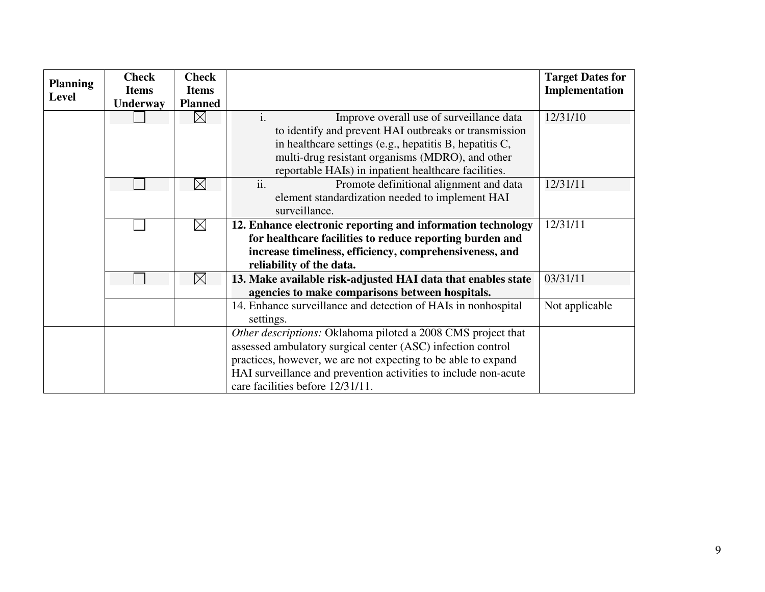| <b>Planning</b> | <b>Check</b> | <b>Check</b>   |                                                                 | <b>Target Dates for</b> |
|-----------------|--------------|----------------|-----------------------------------------------------------------|-------------------------|
| <b>Level</b>    | <b>Items</b> | <b>Items</b>   |                                                                 | Implementation          |
|                 | Underway     | <b>Planned</b> |                                                                 |                         |
|                 |              | $\boxtimes$    | $\mathbf{i}$ .<br>Improve overall use of surveillance data      | 12/31/10                |
|                 |              |                | to identify and prevent HAI outbreaks or transmission           |                         |
|                 |              |                | in healthcare settings (e.g., hepatitis $B$ , hepatitis $C$ ,   |                         |
|                 |              |                | multi-drug resistant organisms (MDRO), and other                |                         |
|                 |              |                | reportable HAIs) in inpatient healthcare facilities.            |                         |
|                 |              | $\boxtimes$    | ii.<br>Promote definitional alignment and data                  | 12/31/11                |
|                 |              |                | element standardization needed to implement HAI                 |                         |
|                 |              |                | surveillance.                                                   |                         |
|                 |              | $\boxtimes$    | 12. Enhance electronic reporting and information technology     | 12/31/11                |
|                 |              |                | for healthcare facilities to reduce reporting burden and        |                         |
|                 |              |                | increase timeliness, efficiency, comprehensiveness, and         |                         |
|                 |              |                | reliability of the data.                                        |                         |
|                 |              | $\boxtimes$    | 13. Make available risk-adjusted HAI data that enables state    | 03/31/11                |
|                 |              |                | agencies to make comparisons between hospitals.                 |                         |
|                 |              |                | 14. Enhance surveillance and detection of HAIs in nonhospital   | Not applicable          |
|                 |              |                | settings.                                                       |                         |
|                 |              |                | Other descriptions: Oklahoma piloted a 2008 CMS project that    |                         |
|                 |              |                | assessed ambulatory surgical center (ASC) infection control     |                         |
|                 |              |                | practices, however, we are not expecting to be able to expand   |                         |
|                 |              |                | HAI surveillance and prevention activities to include non-acute |                         |
|                 |              |                | care facilities before 12/31/11.                                |                         |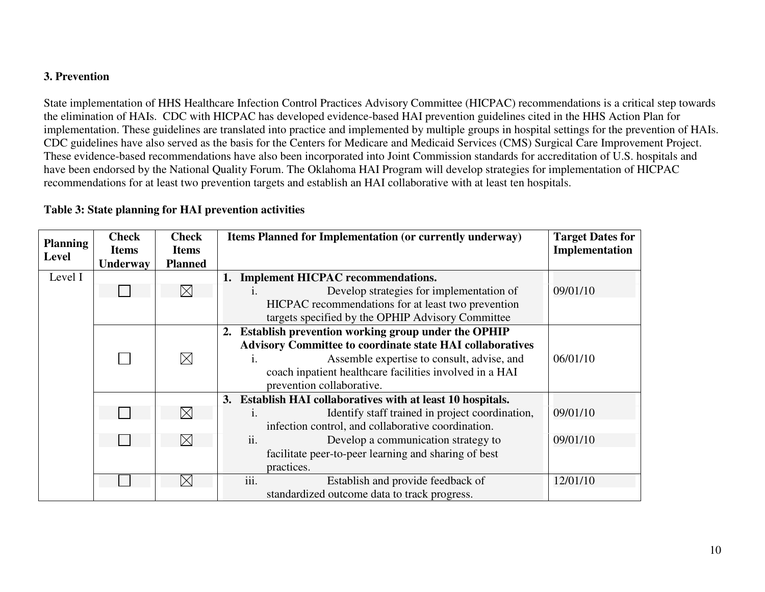# **3. Prevention**

State implementation of HHS Healthcare Infection Control Practices Advisory Committee (HICPAC) recommendations is a critical step towards the elimination of HAIs. CDC with HICPAC has developed evidence-based HAI prevention guidelines cited in the HHS Action Plan for implementation. These guidelines are translated into practice and implemented by multiple groups in hospital settings for the prevention of HAIs. CDC guidelines have also served as the basis for the Centers for Medicare and Medicaid Services (CMS) Surgical Care Improvement Project. These evidence-based recommendations have also been incorporated into Joint Commission standards for accreditation of U.S. hospitals and have been endorsed by the National Quality Forum. The Oklahoma HAI Program will develop strategies for implementation of HICPAC recommendations for at least two prevention targets and establish an HAI collaborative with at least ten hospitals.

| <b>Planning</b><br><b>Level</b> | <b>Check</b><br><b>Items</b><br>Underway | <b>Check</b><br><b>Items</b><br><b>Planned</b> | Items Planned for Implementation (or currently underway)            | <b>Target Dates for</b><br>Implementation |
|---------------------------------|------------------------------------------|------------------------------------------------|---------------------------------------------------------------------|-------------------------------------------|
| Level I                         |                                          |                                                | <b>Implement HICPAC recommendations.</b><br>1.                      |                                           |
|                                 |                                          | $\boxtimes$                                    | Develop strategies for implementation of<br>$\mathbf{1}$ .          | 09/01/10                                  |
|                                 |                                          |                                                | HICPAC recommendations for at least two prevention                  |                                           |
|                                 |                                          |                                                | targets specified by the OPHIP Advisory Committee                   |                                           |
|                                 |                                          |                                                | Establish prevention working group under the OPHIP<br>2.            |                                           |
|                                 |                                          |                                                | <b>Advisory Committee to coordinate state HAI collaboratives</b>    |                                           |
|                                 |                                          | $\boxtimes$                                    | Assemble expertise to consult, advise, and<br>$\mathbf{1}$ .        | 06/01/10                                  |
|                                 |                                          |                                                | coach inpatient healthcare facilities involved in a HAI             |                                           |
|                                 |                                          |                                                | prevention collaborative.                                           |                                           |
|                                 |                                          |                                                | Establish HAI collaboratives with at least 10 hospitals.<br>3.      |                                           |
|                                 |                                          | $\boxtimes$                                    | Identify staff trained in project coordination,<br>$\overline{1}$ . | 09/01/10                                  |
|                                 |                                          |                                                | infection control, and collaborative coordination.                  |                                           |
|                                 |                                          | $\boxtimes$                                    | ii.<br>Develop a communication strategy to                          | 09/01/10                                  |
|                                 |                                          |                                                | facilitate peer-to-peer learning and sharing of best                |                                           |
|                                 |                                          |                                                | practices.                                                          |                                           |
|                                 |                                          | $\times$                                       | $\cdots$<br>Establish and provide feedback of<br>111.               | 12/01/10                                  |
|                                 |                                          |                                                | standardized outcome data to track progress.                        |                                           |

# **Table 3: State planning for HAI prevention activities**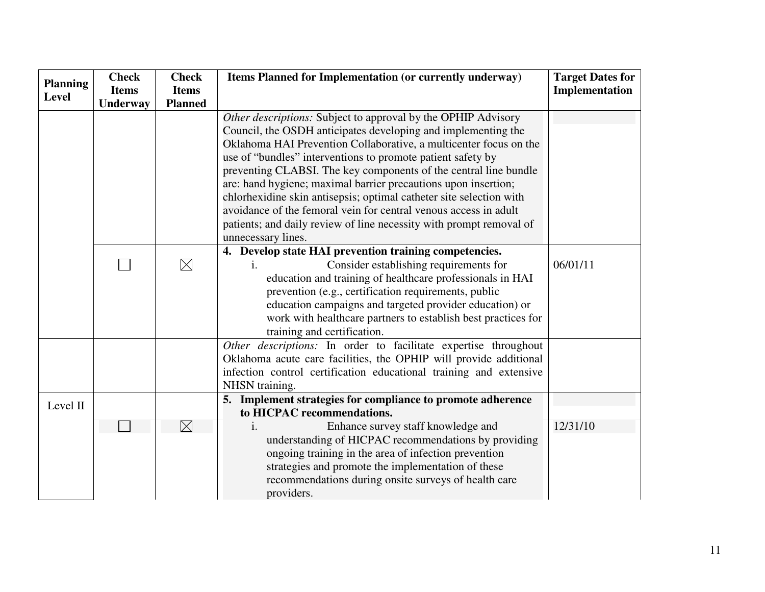| <b>Planning</b> | <b>Check</b> | <b>Check</b>   | Items Planned for Implementation (or currently underway)            | <b>Target Dates for</b> |
|-----------------|--------------|----------------|---------------------------------------------------------------------|-------------------------|
| <b>Level</b>    | <b>Items</b> | <b>Items</b>   |                                                                     | Implementation          |
|                 | Underway     | <b>Planned</b> |                                                                     |                         |
|                 |              |                | Other descriptions: Subject to approval by the OPHIP Advisory       |                         |
|                 |              |                | Council, the OSDH anticipates developing and implementing the       |                         |
|                 |              |                | Oklahoma HAI Prevention Collaborative, a multicenter focus on the   |                         |
|                 |              |                | use of "bundles" interventions to promote patient safety by         |                         |
|                 |              |                | preventing CLABSI. The key components of the central line bundle    |                         |
|                 |              |                | are: hand hygiene; maximal barrier precautions upon insertion;      |                         |
|                 |              |                | chlorhexidine skin antisepsis; optimal catheter site selection with |                         |
|                 |              |                | avoidance of the femoral vein for central venous access in adult    |                         |
|                 |              |                | patients; and daily review of line necessity with prompt removal of |                         |
|                 |              |                | unnecessary lines.                                                  |                         |
|                 |              |                | 4. Develop state HAI prevention training competencies.              |                         |
|                 |              | $\boxtimes$    | Consider establishing requirements for<br>$\mathbf{1}$ .            | 06/01/11                |
|                 |              |                | education and training of healthcare professionals in HAI           |                         |
|                 |              |                | prevention (e.g., certification requirements, public                |                         |
|                 |              |                | education campaigns and targeted provider education) or             |                         |
|                 |              |                | work with healthcare partners to establish best practices for       |                         |
|                 |              |                | training and certification.                                         |                         |
|                 |              |                | Other descriptions: In order to facilitate expertise throughout     |                         |
|                 |              |                | Oklahoma acute care facilities, the OPHIP will provide additional   |                         |
|                 |              |                | infection control certification educational training and extensive  |                         |
|                 |              |                | NHSN training.                                                      |                         |
| Level II        |              |                | 5. Implement strategies for compliance to promote adherence         |                         |
|                 |              |                | to HICPAC recommendations.                                          |                         |
|                 |              | $\boxtimes$    | Enhance survey staff knowledge and<br>$\mathbf{1}$ .                | 12/31/10                |
|                 |              |                | understanding of HICPAC recommendations by providing                |                         |
|                 |              |                | ongoing training in the area of infection prevention                |                         |
|                 |              |                | strategies and promote the implementation of these                  |                         |
|                 |              |                | recommendations during onsite surveys of health care                |                         |
|                 |              |                | providers.                                                          |                         |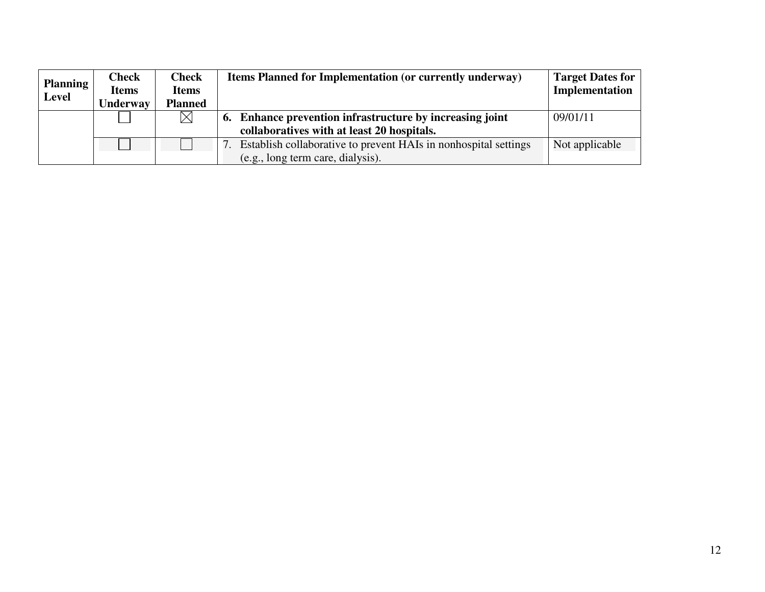| <b>Planning</b> | <b>Check</b>    | <b>Check</b>   | <b>Items Planned for Implementation (or currently underway)</b> | <b>Target Dates for</b> |
|-----------------|-----------------|----------------|-----------------------------------------------------------------|-------------------------|
| <b>Level</b>    | <b>Items</b>    | <b>Items</b>   |                                                                 | Implementation          |
|                 | <b>Underway</b> | <b>Planned</b> |                                                                 |                         |
|                 |                 | $\boxtimes$    | 6. Enhance prevention infrastructure by increasing joint        | 09/01/11                |
|                 |                 |                | collaboratives with at least 20 hospitals.                      |                         |
|                 |                 |                | Establish collaborative to prevent HAIs in nonhospital settings | Not applicable          |
|                 |                 |                | (e.g., long term care, dialysis).                               |                         |